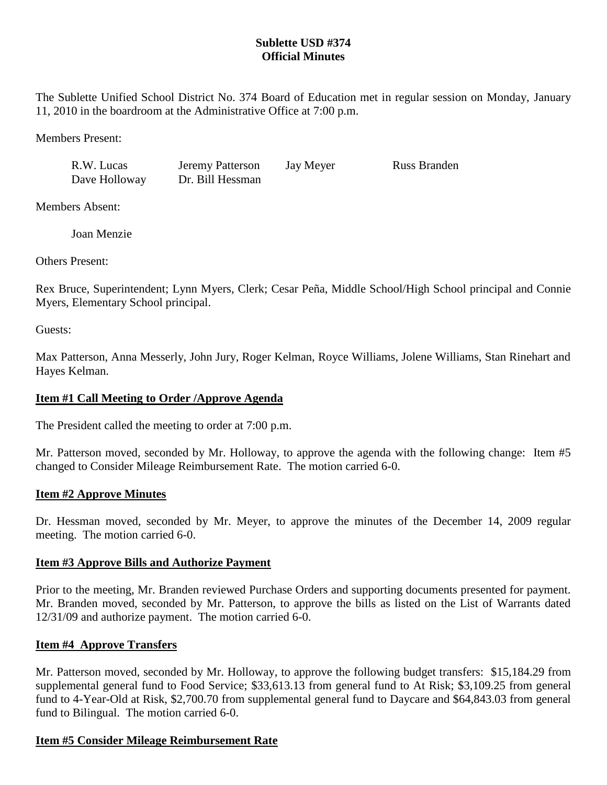# **Sublette USD #374 Official Minutes**

The Sublette Unified School District No. 374 Board of Education met in regular session on Monday, January 11, 2010 in the boardroom at the Administrative Office at 7:00 p.m.

Members Present:

| R.W. Lucas    | <b>Jeremy Patterson</b> | Jay Meyer | <b>Russ Branden</b> |
|---------------|-------------------------|-----------|---------------------|
| Dave Holloway | Dr. Bill Hessman        |           |                     |

Members Absent:

Joan Menzie

Others Present:

Rex Bruce, Superintendent; Lynn Myers, Clerk; Cesar Peña, Middle School/High School principal and Connie Myers, Elementary School principal.

Guests:

Max Patterson, Anna Messerly, John Jury, Roger Kelman, Royce Williams, Jolene Williams, Stan Rinehart and Hayes Kelman.

# **Item #1 Call Meeting to Order /Approve Agenda**

The President called the meeting to order at 7:00 p.m.

Mr. Patterson moved, seconded by Mr. Holloway, to approve the agenda with the following change: Item #5 changed to Consider Mileage Reimbursement Rate. The motion carried 6-0.

## **Item #2 Approve Minutes**

Dr. Hessman moved, seconded by Mr. Meyer, to approve the minutes of the December 14, 2009 regular meeting. The motion carried 6-0.

## **Item #3 Approve Bills and Authorize Payment**

Prior to the meeting, Mr. Branden reviewed Purchase Orders and supporting documents presented for payment. Mr. Branden moved, seconded by Mr. Patterson, to approve the bills as listed on the List of Warrants dated 12/31/09 and authorize payment. The motion carried 6-0.

# **Item #4 Approve Transfers**

Mr. Patterson moved, seconded by Mr. Holloway, to approve the following budget transfers: \$15,184.29 from supplemental general fund to Food Service; \$33,613.13 from general fund to At Risk; \$3,109.25 from general fund to 4-Year-Old at Risk, \$2,700.70 from supplemental general fund to Daycare and \$64,843.03 from general fund to Bilingual. The motion carried 6-0.

## **Item #5 Consider Mileage Reimbursement Rate**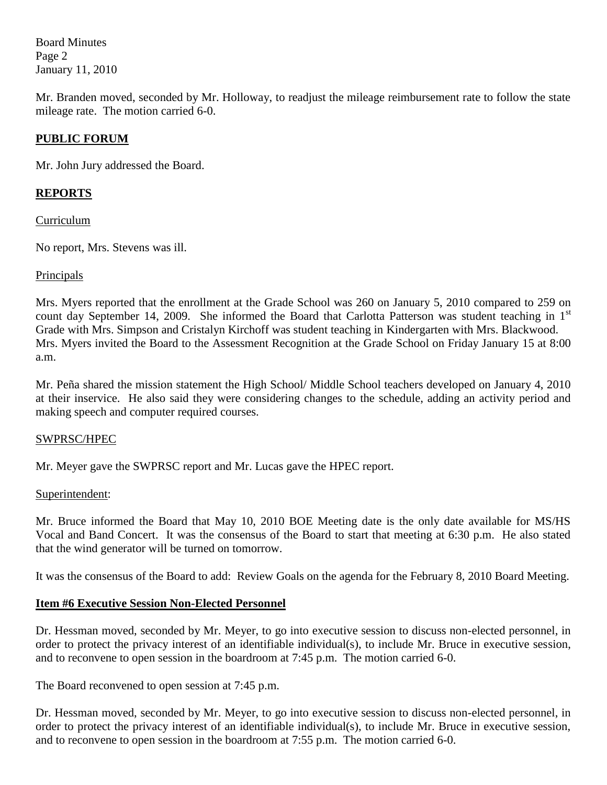Board Minutes Page 2 January 11, 2010

Mr. Branden moved, seconded by Mr. Holloway, to readjust the mileage reimbursement rate to follow the state mileage rate. The motion carried 6-0.

# **PUBLIC FORUM**

Mr. John Jury addressed the Board.

# **REPORTS**

Curriculum

No report, Mrs. Stevens was ill.

### Principals

Mrs. Myers reported that the enrollment at the Grade School was 260 on January 5, 2010 compared to 259 on count day September 14, 2009. She informed the Board that Carlotta Patterson was student teaching in  $1<sup>st</sup>$ Grade with Mrs. Simpson and Cristalyn Kirchoff was student teaching in Kindergarten with Mrs. Blackwood. Mrs. Myers invited the Board to the Assessment Recognition at the Grade School on Friday January 15 at 8:00 a.m.

Mr. Peña shared the mission statement the High School/ Middle School teachers developed on January 4, 2010 at their inservice. He also said they were considering changes to the schedule, adding an activity period and making speech and computer required courses.

## SWPRSC/HPEC

Mr. Meyer gave the SWPRSC report and Mr. Lucas gave the HPEC report.

#### Superintendent:

Mr. Bruce informed the Board that May 10, 2010 BOE Meeting date is the only date available for MS/HS Vocal and Band Concert. It was the consensus of the Board to start that meeting at 6:30 p.m. He also stated that the wind generator will be turned on tomorrow.

It was the consensus of the Board to add: Review Goals on the agenda for the February 8, 2010 Board Meeting.

## **Item #6 Executive Session Non-Elected Personnel**

Dr. Hessman moved, seconded by Mr. Meyer, to go into executive session to discuss non-elected personnel, in order to protect the privacy interest of an identifiable individual(s), to include Mr. Bruce in executive session, and to reconvene to open session in the boardroom at 7:45 p.m. The motion carried 6-0.

The Board reconvened to open session at 7:45 p.m.

Dr. Hessman moved, seconded by Mr. Meyer, to go into executive session to discuss non-elected personnel, in order to protect the privacy interest of an identifiable individual(s), to include Mr. Bruce in executive session, and to reconvene to open session in the boardroom at 7:55 p.m. The motion carried 6-0.